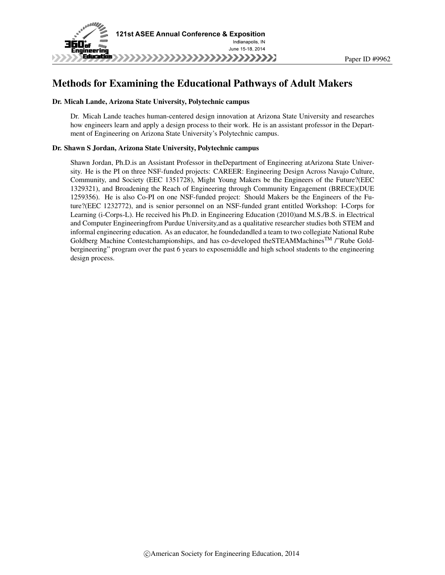

# Methods for Examining the Educational Pathways of Adult Makers

#### Dr. Micah Lande, Arizona State University, Polytechnic campus

Dr. Micah Lande teaches human-centered design innovation at Arizona State University and researches how engineers learn and apply a design process to their work. He is an assistant professor in the Department of Engineering on Arizona State University's Polytechnic campus.

#### Dr. Shawn S Jordan, Arizona State University, Polytechnic campus

Shawn Jordan, Ph.D.is an Assistant Professor in theDepartment of Engineering atArizona State University. He is the PI on three NSF-funded projects: CAREER: Engineering Design Across Navajo Culture, Community, and Society (EEC 1351728), Might Young Makers be the Engineers of the Future?(EEC 1329321), and Broadening the Reach of Engineering through Community Engagement (BRECE)(DUE 1259356). He is also Co-PI on one NSF-funded project: Should Makers be the Engineers of the Future?(EEC 1232772), and is senior personnel on an NSF-funded grant entitled Workshop: I-Corps for Learning (i-Corps-L). He received his Ph.D. in Engineering Education (2010)and M.S./B.S. in Electrical and Computer Engineeringfrom Purdue University,and as a qualitative researcher studies both STEM and informal engineering education. As an educator, he foundedandled a team to two collegiate National Rube Goldberg Machine Contestchampionships, and has co-developed the STEAMMachines<sup>TM</sup> /"Rube Goldbergineering" program over the past 6 years to exposemiddle and high school students to the engineering design process.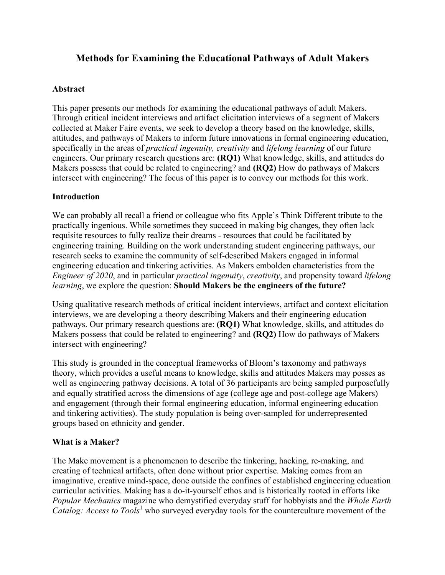# **Methods for Examining the Educational Pathways of Adult Makers**

#### **Abstract**

This paper presents our methods for examining the educational pathways of adult Makers. Through critical incident interviews and artifact elicitation interviews of a segment of Makers collected at Maker Faire events, we seek to develop a theory based on the knowledge, skills, attitudes, and pathways of Makers to inform future innovations in formal engineering education, specifically in the areas of *practical ingenuity, creativity* and *lifelong learning* of our future engineers. Our primary research questions are: **(RQ1)** What knowledge, skills, and attitudes do Makers possess that could be related to engineering? and **(RQ2)** How do pathways of Makers intersect with engineering? The focus of this paper is to convey our methods for this work.

### **Introduction**

We can probably all recall a friend or colleague who fits Apple's Think Different tribute to the practically ingenious. While sometimes they succeed in making big changes, they often lack requisite resources to fully realize their dreams - resources that could be facilitated by engineering training. Building on the work understanding student engineering pathways, our research seeks to examine the community of self-described Makers engaged in informal engineering education and tinkering activities. As Makers embolden characteristics from the *Engineer of 2020*, and in particular *practical ingenuity*, *creativity*, and propensity toward *lifelong learning*, we explore the question: **Should Makers be the engineers of the future?**

Using qualitative research methods of critical incident interviews, artifact and context elicitation interviews, we are developing a theory describing Makers and their engineering education pathways. Our primary research questions are: **(RQ1)** What knowledge, skills, and attitudes do Makers possess that could be related to engineering? and **(RQ2)** How do pathways of Makers intersect with engineering?

This study is grounded in the conceptual frameworks of Bloom's taxonomy and pathways theory, which provides a useful means to knowledge, skills and attitudes Makers may posses as well as engineering pathway decisions. A total of 36 participants are being sampled purposefully and equally stratified across the dimensions of age (college age and post-college age Makers) and engagement (through their formal engineering education, informal engineering education and tinkering activities). The study population is being over-sampled for underrepresented groups based on ethnicity and gender.

### **What is a Maker?**

The Make movement is a phenomenon to describe the tinkering, hacking, re-making, and creating of technical artifacts, often done without prior expertise. Making comes from an imaginative, creative mind-space, done outside the confines of established engineering education curricular activities. Making has a do-it-yourself ethos and is historically rooted in efforts like *Popular Mechanics* magazine who demystified everyday stuff for hobbyists and the *Whole Earth Catalog: Access to Tools*<sup>1</sup> who surveyed everyday tools for the counterculture movement of the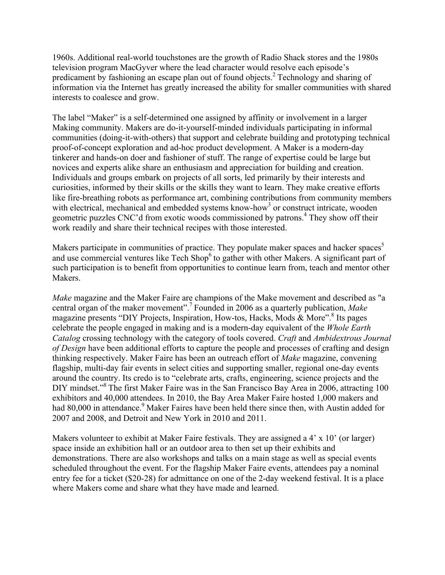1960s. Additional real-world touchstones are the growth of Radio Shack stores and the 1980s television program MacGyver where the lead character would resolve each episode's predicament by fashioning an escape plan out of found objects.<sup>2</sup> Technology and sharing of information via the Internet has greatly increased the ability for smaller communities with shared interests to coalesce and grow.

The label "Maker" is a self-determined one assigned by affinity or involvement in a larger Making community. Makers are do-it-yourself-minded individuals participating in informal communities (doing-it-with-others) that support and celebrate building and prototyping technical proof-of-concept exploration and ad-hoc product development. A Maker is a modern-day tinkerer and hands-on doer and fashioner of stuff. The range of expertise could be large but novices and experts alike share an enthusiasm and appreciation for building and creation. Individuals and groups embark on projects of all sorts, led primarily by their interests and curiosities, informed by their skills or the skills they want to learn. They make creative efforts like fire-breathing robots as performance art, combining contributions from community members with electrical, mechanical and embedded systems know-how<sup>3</sup> or construct intricate, wooden geometric puzzles CNC'd from exotic woods commissioned by patrons. <sup>4</sup> They show off their work readily and share their technical recipes with those interested.

Makers participate in communities of practice. They populate maker spaces and hacker spaces<sup>5</sup> and use commercial ventures like Tech  $\text{Stop}^6$  to gather with other Makers. A significant part of such participation is to benefit from opportunities to continue learn from, teach and mentor other Makers.

*Make* magazine and the Maker Faire are champions of the Make movement and described as "a central organ of the maker movement".<sup>7</sup> Founded in 2006 as a quarterly publication, *Make* magazine presents "DIY Projects, Inspiration, How-tos, Hacks, Mods & More".<sup>8</sup> Its pages celebrate the people engaged in making and is a modern-day equivalent of the *Whole Earth Catalog* crossing technology with the category of tools covered. *Craft* and *Ambidextrous Journal of Design* have been additional efforts to capture the people and processes of crafting and design thinking respectively. Maker Faire has been an outreach effort of *Make* magazine, convening flagship, multi-day fair events in select cities and supporting smaller, regional one-day events around the country. Its credo is to "celebrate arts, crafts, engineering, science projects and the DIY mindset."<sup>8</sup> The first Maker Faire was in the San Francisco Bay Area in 2006, attracting 100 exhibitors and 40,000 attendees. In 2010, the Bay Area Maker Faire hosted 1,000 makers and had 80,000 in attendance.<sup>9</sup> Maker Faires have been held there since then, with Austin added for 2007 and 2008, and Detroit and New York in 2010 and 2011.

Makers volunteer to exhibit at Maker Faire festivals. They are assigned a 4' x 10' (or larger) space inside an exhibition hall or an outdoor area to then set up their exhibits and demonstrations. There are also workshops and talks on a main stage as well as special events scheduled throughout the event. For the flagship Maker Faire events, attendees pay a nominal entry fee for a ticket (\$20-28) for admittance on one of the 2-day weekend festival. It is a place where Makers come and share what they have made and learned.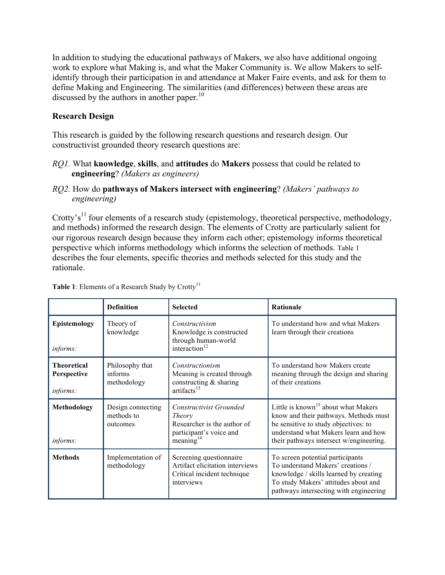In addition to studying the educational pathways of Makers, we also have additional ongoing work to explore what Making is, and what the Maker Community is. We allow Makers to selfidentify through their participation in and attendance at Maker Faire events, and ask for them to define Making and Engineering. The similarities (and differences) between these areas are discussed by the authors in another paper.<sup>10</sup>

## **Research Design**

This research is guided by the following research questions and research design. Our constructivist grounded theory research questions are:

- *RQ1.* What **knowledge**, **skills**, and **attitudes** do **Makers** possess that could be related to **engineering**? *(Makers as engineers)*
- *RQ2.* How do **pathways of Makers intersect with engineering**? *(Makers' pathways to engineering)*

Crotty's<sup>11</sup> four elements of a research study (epistemology, theoretical perspective, methodology, and methods) informed the research design. The elements of Crotty are particularly salient for our rigorous research design because they inform each other; epistemology informs theoretical perspective which informs methodology which informs the selection of methods. Table 1 describes the four elements, specific theories and methods selected for this study and the rationale.

|                                                      | <b>Definition</b>                           | <b>Selected</b>                                                                                                           | <b>Rationale</b>                                                                                                                                                                                                    |
|------------------------------------------------------|---------------------------------------------|---------------------------------------------------------------------------------------------------------------------------|---------------------------------------------------------------------------------------------------------------------------------------------------------------------------------------------------------------------|
| Epistemology<br><i>informs:</i>                      | Theory of<br>knowledge                      | Constructivism<br>Knowledge is constructed<br>through human-world<br>interaction <sup>12</sup>                            | To understand how and what Makers<br>learn through their creations                                                                                                                                                  |
| <b>Theoretical</b><br>Perspective<br><i>informs:</i> | Philosophy that<br>informs<br>methodology   | Constructionism<br>Meaning is created through<br>constructing & sharing<br>artifacts <sup>13</sup>                        | To understand how Makers create<br>meaning through the design and sharing<br>of their creations                                                                                                                     |
| Methodology<br><i>informs:</i>                       | Design connecting<br>methods to<br>outcomes | Constructivist Grounded<br><i>Theory</i><br>Researcher is the author of<br>participant's voice and<br>$\rm{meaning}^{14}$ | Little is known <sup>15</sup> about what Makers<br>know and their pathways. Methods must<br>be sensitive to study objectives: to<br>understand what Makers learn and how<br>their pathways intersect w/engineering. |
| <b>Methods</b>                                       | Implementation of<br>methodology            | Screening questionnaire<br>Artifact elicitation interviews<br>Critical incident technique<br>interviews                   | To screen potential participants<br>To understand Makers' creations /<br>knowledge / skills learned by creating<br>To study Makers' attitudes about and<br>pathways intersecting with engineering                   |

**Table 1**: Elements of a Research Study by  $Crotty$ <sup>11</sup>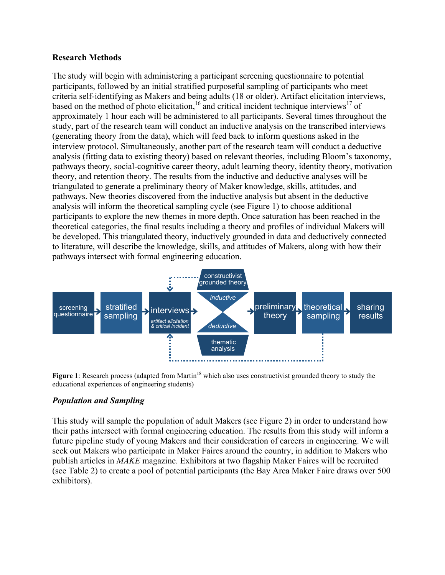#### **Research Methods**

The study will begin with administering a participant screening questionnaire to potential participants, followed by an initial stratified purposeful sampling of participants who meet criteria self-identifying as Makers and being adults (18 or older). Artifact elicitation interviews, based on the method of photo elicitation,  $16$  and critical incident technique interviews<sup>17</sup> of approximately 1 hour each will be administered to all participants. Several times throughout the study, part of the research team will conduct an inductive analysis on the transcribed interviews (generating theory from the data), which will feed back to inform questions asked in the interview protocol. Simultaneously, another part of the research team will conduct a deductive analysis (fitting data to existing theory) based on relevant theories, including Bloom's taxonomy, pathways theory, social-cognitive career theory, adult learning theory, identity theory, motivation theory, and retention theory. The results from the inductive and deductive analyses will be triangulated to generate a preliminary theory of Maker knowledge, skills, attitudes, and pathways. New theories discovered from the inductive analysis but absent in the deductive analysis will inform the theoretical sampling cycle (see Figure 1) to choose additional participants to explore the new themes in more depth. Once saturation has been reached in the theoretical categories, the final results including a theory and profiles of individual Makers will be developed. This triangulated theory, inductively grounded in data and deductively connected to literature, will describe the knowledge, skills, and attitudes of Makers, along with how their pathways intersect with formal engineering education.



**Figure 1**: Research process (adapted from Martin<sup>18</sup> which also uses constructivist grounded theory to study the educational experiences of engineering students)

### *Population and Sampling*

This study will sample the population of adult Makers (see Figure 2) in order to understand how their paths intersect with formal engineering education. The results from this study will inform a future pipeline study of young Makers and their consideration of careers in engineering. We will seek out Makers who participate in Maker Faires around the country, in addition to Makers who publish articles in *MAKE* magazine. Exhibitors at two flagship Maker Faires will be recruited (see Table 2) to create a pool of potential participants (the Bay Area Maker Faire draws over 500 exhibitors).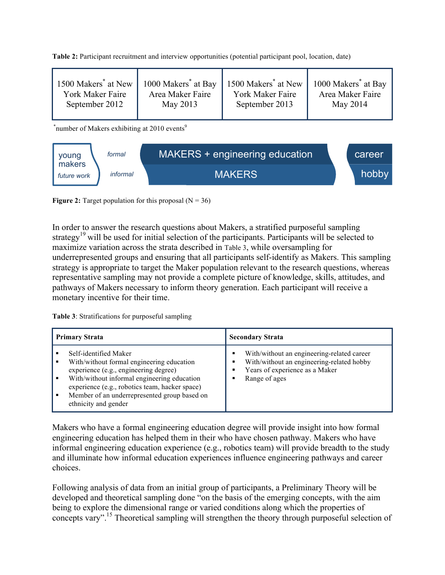**Table 2:** Participant recruitment and interview opportunities (potential participant pool, location, date)

| 1500 Makers <sup>*</sup> at New | 1000 Makers <sup>*</sup> at Bay | 1500 Makers <sup>*</sup> at New | 1000 Makers <sup>*</sup> at Bay |
|---------------------------------|---------------------------------|---------------------------------|---------------------------------|
| York Maker Faire                | Area Maker Faire                | York Maker Faire                | Area Maker Faire                |
| September 2012                  | May 2013                        | September 2013                  | May 2014                        |
|                                 |                                 |                                 |                                 |

\*number of Makers exhibiting at 2010 events<sup>9</sup>



**Figure 2:** Target population for this proposal  $(N = 36)$ 

In order to answer the research questions about Makers, a stratified purposeful sampling strategy<sup>19</sup> will be used for initial selection of the participants. Participants will be selected to maximize variation across the strata described in Table 3, while oversampling for underrepresented groups and ensuring that all participants self-identify as Makers. This sampling strategy is appropriate to target the Maker population relevant to the research questions, whereas representative sampling may not provide a complete picture of knowledge, skills, attitudes, and pathways of Makers necessary to inform theory generation. Each participant will receive a monetary incentive for their time.

**Table 3**: Stratifications for purposeful sampling

| <b>Primary Strata</b> |                                                                                                                                                                                                                                                                                      | <b>Secondary Strata</b>                                                                                                                         |  |
|-----------------------|--------------------------------------------------------------------------------------------------------------------------------------------------------------------------------------------------------------------------------------------------------------------------------------|-------------------------------------------------------------------------------------------------------------------------------------------------|--|
|                       | Self-identified Maker<br>With/without formal engineering education<br>experience (e.g., engineering degree)<br>With/without informal engineering education<br>experience (e.g., robotics team, hacker space)<br>Member of an underrepresented group based on<br>ethnicity and gender | With/without an engineering-related career<br>٠<br>With/without an engineering-related hobby<br>Years of experience as a Maker<br>Range of ages |  |

Makers who have a formal engineering education degree will provide insight into how formal engineering education has helped them in their who have chosen pathway. Makers who have informal engineering education experience (e.g., robotics team) will provide breadth to the study and illuminate how informal education experiences influence engineering pathways and career choices.

Following analysis of data from an initial group of participants, a Preliminary Theory will be developed and theoretical sampling done "on the basis of the emerging concepts, with the aim being to explore the dimensional range or varied conditions along which the properties of concepts vary".<sup>15</sup> Theoretical sampling will strengthen the theory through purposeful selection of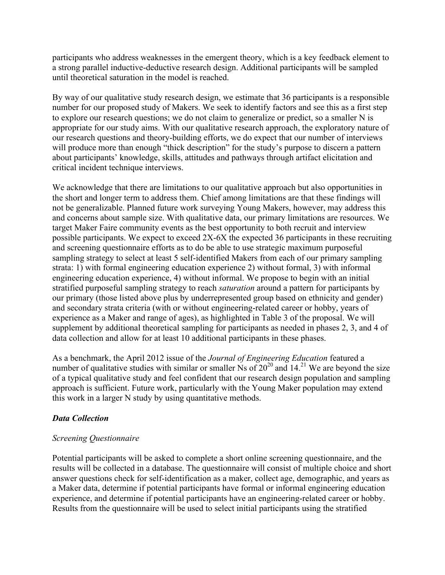participants who address weaknesses in the emergent theory, which is a key feedback element to a strong parallel inductive-deductive research design. Additional participants will be sampled until theoretical saturation in the model is reached.

By way of our qualitative study research design, we estimate that 36 participants is a responsible number for our proposed study of Makers. We seek to identify factors and see this as a first step to explore our research questions; we do not claim to generalize or predict, so a smaller N is appropriate for our study aims. With our qualitative research approach, the exploratory nature of our research questions and theory-building efforts, we do expect that our number of interviews will produce more than enough "thick description" for the study's purpose to discern a pattern about participants' knowledge, skills, attitudes and pathways through artifact elicitation and critical incident technique interviews.

We acknowledge that there are limitations to our qualitative approach but also opportunities in the short and longer term to address them. Chief among limitations are that these findings will not be generalizable. Planned future work surveying Young Makers, however, may address this and concerns about sample size. With qualitative data, our primary limitations are resources. We target Maker Faire community events as the best opportunity to both recruit and interview possible participants. We expect to exceed 2X-6X the expected 36 participants in these recruiting and screening questionnaire efforts as to do be able to use strategic maximum purposeful sampling strategy to select at least 5 self-identified Makers from each of our primary sampling strata: 1) with formal engineering education experience 2) without formal, 3) with informal engineering education experience, 4) without informal. We propose to begin with an initial stratified purposeful sampling strategy to reach *saturation* around a pattern for participants by our primary (those listed above plus by underrepresented group based on ethnicity and gender) and secondary strata criteria (with or without engineering-related career or hobby, years of experience as a Maker and range of ages), as highlighted in Table 3 of the proposal. We will supplement by additional theoretical sampling for participants as needed in phases 2, 3, and 4 of data collection and allow for at least 10 additional participants in these phases.

As a benchmark, the April 2012 issue of the *Journal of Engineering Education* featured a number of qualitative studies with similar or smaller Ns of  $20^{20}$  and 14.<sup>21</sup> We are beyond the size of a typical qualitative study and feel confident that our research design population and sampling approach is sufficient. Future work, particularly with the Young Maker population may extend this work in a larger N study by using quantitative methods.

### *Data Collection*

### *Screening Questionnaire*

Potential participants will be asked to complete a short online screening questionnaire, and the results will be collected in a database. The questionnaire will consist of multiple choice and short answer questions check for self-identification as a maker, collect age, demographic, and years as a Maker data, determine if potential participants have formal or informal engineering education experience, and determine if potential participants have an engineering-related career or hobby. Results from the questionnaire will be used to select initial participants using the stratified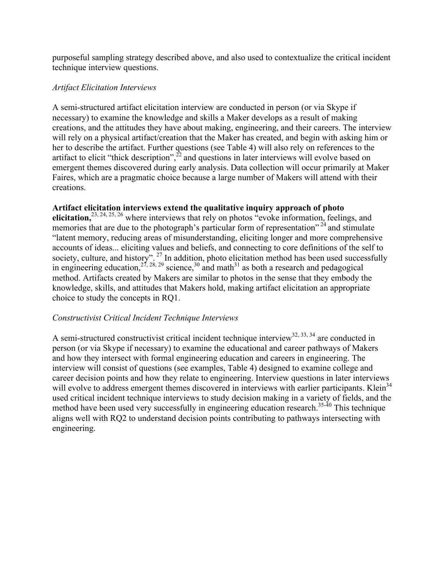purposeful sampling strategy described above, and also used to contextualize the critical incident technique interview questions.

#### *Artifact Elicitation Interviews*

A semi-structured artifact elicitation interview are conducted in person (or via Skype if necessary) to examine the knowledge and skills a Maker develops as a result of making creations, and the attitudes they have about making, engineering, and their careers. The interview will rely on a physical artifact/creation that the Maker has created, and begin with asking him or her to describe the artifact. Further questions (see Table 4) will also rely on references to the artifact to elicit "thick description", $^{22}$  and questions in later interviews will evolve based on emergent themes discovered during early analysis. Data collection will occur primarily at Maker Faires, which are a pragmatic choice because a large number of Makers will attend with their creations.

### **Artifact elicitation interviews extend the qualitative inquiry approach of photo**

elicitation,<sup>23, 24, 25, 26</sup> where interviews that rely on photos "evoke information, feelings, and memories that are due to the photograph's particular form of representation"  $24$  and stimulate "latent memory, reducing areas of misunderstanding, eliciting longer and more comprehensive accounts of ideas... eliciting values and beliefs, and connecting to core definitions of the self to society, culture, and history".  $27$  In addition, photo elicitation method has been used successfully in engineering education,  $2^{7}$ ,  $2^{8}$ ,  $2^{9}$  science,  $3^{0}$  and math<sup>31</sup> as both a research and pedagogical method. Artifacts created by Makers are similar to photos in the sense that they embody the knowledge, skills, and attitudes that Makers hold, making artifact elicitation an appropriate choice to study the concepts in RQ1.

### *Constructivist Critical Incident Technique Interviews*

A semi-structured constructivist critical incident technique interview<sup>32, 33, 34</sup> are conducted in person (or via Skype if necessary) to examine the educational and career pathways of Makers and how they intersect with formal engineering education and careers in engineering. The interview will consist of questions (see examples, Table 4) designed to examine college and career decision points and how they relate to engineering. Interview questions in later interviews will evolve to address emergent themes discovered in interviews with earlier participants. Klein<sup>34</sup> used critical incident technique interviews to study decision making in a variety of fields, and the method have been used very successfully in engineering education research.<sup>35-40</sup> This technique aligns well with RQ2 to understand decision points contributing to pathways intersecting with engineering.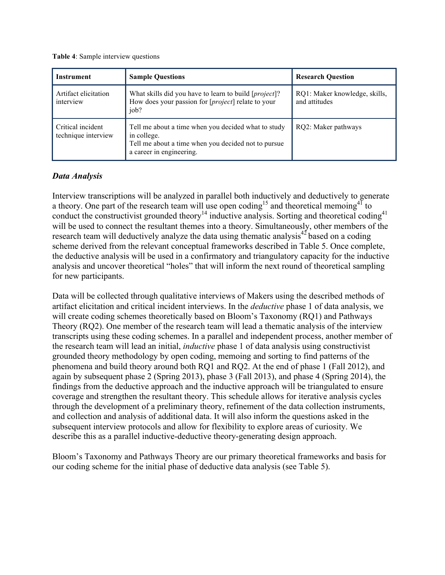**Table 4**: Sample interview questions

| <b>Instrument</b>                        | <b>Sample Questions</b>                                                                                                                               | <b>Research Question</b>                       |
|------------------------------------------|-------------------------------------------------------------------------------------------------------------------------------------------------------|------------------------------------------------|
| Artifact elicitation<br>interview        | What skills did you have to learn to build [ <i>project</i> ]?<br>How does your passion for [ <i>project</i> ] relate to your<br>job?                 | RQ1: Maker knowledge, skills,<br>and attitudes |
| Critical incident<br>technique interview | Tell me about a time when you decided what to study<br>in college.<br>Tell me about a time when you decided not to pursue<br>a career in engineering. | RQ2: Maker pathways                            |

#### *Data Analysis*

Interview transcriptions will be analyzed in parallel both inductively and deductively to generate a theory. One part of the research team will use open coding<sup>15</sup> and theoretical memoing<sup>41</sup> to conduct the constructivist grounded theory<sup>14</sup> inductive analysis. Sorting and theoretical coding<sup>41</sup> will be used to connect the resultant themes into a theory. Simultaneously, other members of the research team will deductively analyze the data using thematic analysis $42$  based on a coding scheme derived from the relevant conceptual frameworks described in Table 5. Once complete, the deductive analysis will be used in a confirmatory and triangulatory capacity for the inductive analysis and uncover theoretical "holes" that will inform the next round of theoretical sampling for new participants.

Data will be collected through qualitative interviews of Makers using the described methods of artifact elicitation and critical incident interviews. In the *deductive* phase 1 of data analysis, we will create coding schemes theoretically based on Bloom's Taxonomy (RQ1) and Pathways Theory (RQ2). One member of the research team will lead a thematic analysis of the interview transcripts using these coding schemes. In a parallel and independent process, another member of the research team will lead an initial, *inductive* phase 1 of data analysis using constructivist grounded theory methodology by open coding, memoing and sorting to find patterns of the phenomena and build theory around both RQ1 and RQ2. At the end of phase 1 (Fall 2012), and again by subsequent phase 2 (Spring 2013), phase 3 (Fall 2013), and phase 4 (Spring 2014), the findings from the deductive approach and the inductive approach will be triangulated to ensure coverage and strengthen the resultant theory. This schedule allows for iterative analysis cycles through the development of a preliminary theory, refinement of the data collection instruments, and collection and analysis of additional data. It will also inform the questions asked in the subsequent interview protocols and allow for flexibility to explore areas of curiosity. We describe this as a parallel inductive-deductive theory-generating design approach.

Bloom's Taxonomy and Pathways Theory are our primary theoretical frameworks and basis for our coding scheme for the initial phase of deductive data analysis (see Table 5).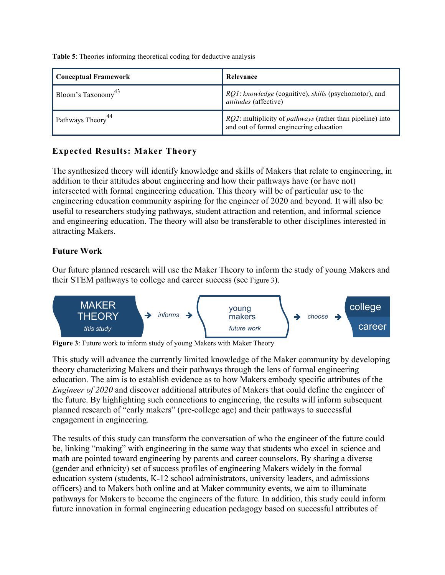**Table 5**: Theories informing theoretical coding for deductive analysis

| <b>Conceptual Framework</b>    | Relevance                                                                                                           |
|--------------------------------|---------------------------------------------------------------------------------------------------------------------|
| Bloom's Taxonomy <sup>43</sup> | RQ1: knowledge (cognitive), skills (psychomotor), and<br>attitudes (affective)                                      |
| Pathways Theory <sup>44</sup>  | <i>RQ2</i> : multiplicity of <i>pathways</i> (rather than pipeline) into<br>and out of formal engineering education |

# **Expected Results: Maker Theory**

The synthesized theory will identify knowledge and skills of Makers that relate to engineering, in addition to their attitudes about engineering and how their pathways have (or have not) intersected with formal engineering education. This theory will be of particular use to the engineering education community aspiring for the engineer of 2020 and beyond. It will also be useful to researchers studying pathways, student attraction and retention, and informal science and engineering education. The theory will also be transferable to other disciplines interested in attracting Makers.

## **Future Work**

Our future planned research will use the Maker Theory to inform the study of young Makers and their STEM pathways to college and career success (see Figure 3).



**Figure 3**: Future work to inform study of young Makers with Maker Theory

This study will advance the currently limited knowledge of the Maker community by developing theory characterizing Makers and their pathways through the lens of formal engineering education. The aim is to establish evidence as to how Makers embody specific attributes of the *Engineer of 2020* and discover additional attributes of Makers that could define the engineer of the future. By highlighting such connections to engineering, the results will inform subsequent planned research of "early makers" (pre-college age) and their pathways to successful engagement in engineering.

The results of this study can transform the conversation of who the engineer of the future could be, linking "making" with engineering in the same way that students who excel in science and math are pointed toward engineering by parents and career counselors. By sharing a diverse (gender and ethnicity) set of success profiles of engineering Makers widely in the formal education system (students, K-12 school administrators, university leaders, and admissions officers) and to Makers both online and at Maker community events, we aim to illuminate pathways for Makers to become the engineers of the future. In addition, this study could inform future innovation in formal engineering education pedagogy based on successful attributes of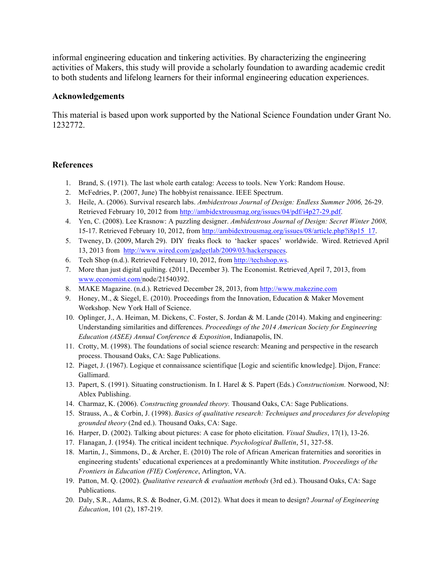informal engineering education and tinkering activities. By characterizing the engineering activities of Makers, this study will provide a scholarly foundation to awarding academic credit to both students and lifelong learners for their informal engineering education experiences.

#### **Acknowledgements**

This material is based upon work supported by the National Science Foundation under Grant No. 1232772.

#### **References**

- 1. Brand, S. (1971). The last whole earth catalog: Access to tools. New York: Random House.
- 2. McFedries, P. (2007, June) The hobbyist renaissance. IEEE Spectrum.
- 3. Heile, A. (2006). Survival research labs. *Ambidextrous Journal of Design: Endless Summer 2006,* 26-29. Retrieved February 10, 2012 from http://ambidextrousmag.org/issues/04/pdf/i4p27-29.pdf.
- 4. Yen, C. (2008). Lee Krasnow: A puzzling designer. *Ambidextrous Journal of Design: Secret Winter 2008,*  15-17. Retrieved February 10, 2012, from http://ambidextrousmag.org/issues/08/article.php?i8p15\_17.
- 5. Tweney, D. (2009, March 29). DIY freaks flock to 'hacker spaces' worldwide. Wired. Retrieved April 13, 2013 from http://www.wired.com/gadgetlab/2009/03/hackerspaces.
- 6. Tech Shop (n.d.). Retrieved February 10, 2012, from http://techshop.ws.
- 7. More than just digital quilting. (2011, December 3). The Economist. Retrieved April 7, 2013, from www.economist.com/node/21540392.
- 8. MAKE Magazine. (n.d.). Retrieved December 28, 2013, from http://www.makezine.com
- 9. Honey, M., & Siegel, E. (2010). Proceedings from the Innovation, Education & Maker Movement Workshop. New York Hall of Science.
- 10. Oplinger, J., A. Heiman, M. Dickens, C. Foster, S. Jordan & M. Lande (2014). Making and engineering: Understanding similarities and differences. *Proceedings of the 2014 American Society for Engineering Education (ASEE) Annual Conference & Exposition*, Indianapolis, IN.
- 11. Crotty, M. (1998). The foundations of social science research: Meaning and perspective in the research process. Thousand Oaks, CA: Sage Publications.
- 12. Piaget, J. (1967). Logique et connaissance scientifique [Logic and scientific knowledge]. Dijon, France: Gallimard.
- 13. Papert, S. (1991). Situating constructionism. In I. Harel & S. Papert (Eds.) *Constructionism.* Norwood, NJ: Ablex Publishing.
- 14. Charmaz, K. (2006). *Constructing grounded theory.* Thousand Oaks, CA: Sage Publications.
- 15. Strauss, A., & Corbin, J. (1998). *Basics of qualitative research: Techniques and procedures for developing grounded theory* (2nd ed.). Thousand Oaks, CA: Sage.
- 16. Harper, D. (2002). Talking about pictures: A case for photo elicitation. *Visual Studies*, 17(1), 13-26.
- 17. Flanagan, J. (1954). The critical incident technique. *Psychological Bulletin*, 51, 327-58.
- 18. Martin, J., Simmons, D., & Archer, E. (2010) The role of African American fraternities and sororities in engineering students' educational experiences at a predominantly White institution. *Proceedings of the Frontiers in Education (FIE) Conference*, Arlington, VA.
- 19. Patton, M. Q. (2002). *Qualitative research & evaluation methods* (3rd ed.). Thousand Oaks, CA: Sage Publications.
- 20. Daly, S.R., Adams, R.S. & Bodner, G.M. (2012). What does it mean to design? *Journal of Engineering Education*, 101 (2), 187-219.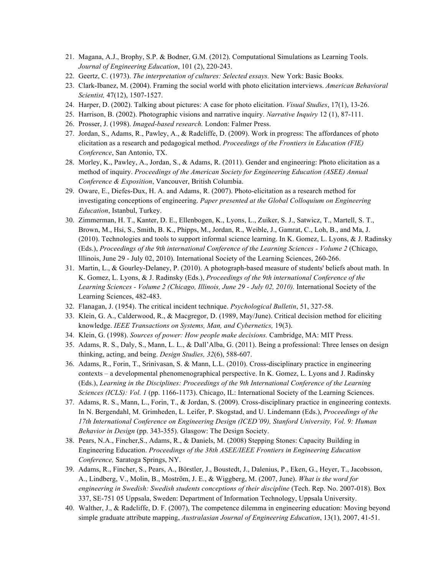- 21. Magana, A.J., Brophy, S.P. & Bodner, G.M. (2012). Computational Simulations as Learning Tools. *Journal of Engineering Education*, 101 (2), 220-243.
- 22. Geertz, C. (1973). *The interpretation of cultures: Selected essays.* New York: Basic Books.
- 23. Clark-Ibanez, M. (2004). Framing the social world with photo elicitation interviews. *American Behavioral Scientist,* 47(12), 1507-1527.
- 24. Harper, D. (2002). Talking about pictures: A case for photo elicitation. *Visual Studies*, 17(1), 13-26.
- 25. Harrison, B. (2002). Photographic visions and narrative inquiry. *Narrative Inquiry* 12 (1), 87-111.
- 26. Prosser, J. (1998). *Imaged-based research.* London: Falmer Press.
- 27. Jordan, S., Adams, R., Pawley, A., & Radcliffe, D. (2009). Work in progress: The affordances of photo elicitation as a research and pedagogical method. *Proceedings of the Frontiers in Education (FIE) Conference*, San Antonio, TX.
- 28. Morley, K., Pawley, A., Jordan, S., & Adams, R. (2011). Gender and engineering: Photo elicitation as a method of inquiry. *Proceedings of the American Society for Engineering Education (ASEE) Annual Conference & Exposition*, Vancouver, British Columbia.
- 29. Oware, E., Diefes-Dux, H. A. and Adams, R. (2007). Photo-elicitation as a research method for investigating conceptions of engineering. *Paper presented at the Global Colloquium on Engineering Education*, Istanbul, Turkey.
- 30. Zimmerman, H. T., Kanter, D. E., Ellenbogen, K., Lyons, L., Zuiker, S. J., Satwicz, T., Martell, S. T., Brown, M., Hsi, S., Smith, B. K., Phipps, M., Jordan, R., Weible, J., Gamrat, C., Loh, B., and Ma, J. (2010). Technologies and tools to support informal science learning. In K. Gomez, L. Lyons, & J. Radinsky (Eds.), *Proceedings of the 9th international Conference of the Learning Sciences - Volume 2* (Chicago, Illinois, June 29 - July 02, 2010). International Society of the Learning Sciences, 260-266.
- 31. Martin, L., & Gourley-Delaney, P. (2010). A photograph-based measure of students' beliefs about math. In K. Gomez, L. Lyons, & J. Radinsky (Eds.), *Proceedings of the 9th international Conference of the Learning Sciences - Volume 2 (Chicago, Illinois, June 29 - July 02, 2010).* International Society of the Learning Sciences, 482-483.
- 32. Flanagan, J. (1954). The critical incident technique. *Psychological Bulletin*, 51, 327-58.
- 33. Klein, G. A., Calderwood, R., & Macgregor, D. (1989, May/June). Critical decision method for eliciting knowledge. *IEEE Transactions on Systems, Man, and Cybernetics,* 19(3).
- 34. Klein, G. (1998). *Sources of power: How people make decisions.* Cambridge, MA: MIT Press.
- 35. Adams, R. S., Daly, S., Mann, L. L., & Dall'Alba, G. (2011). Being a professional: Three lenses on design thinking, acting, and being. *Design Studies, 32*(6), 588-607.
- 36. Adams, R., Forin, T., Srinivasan, S. & Mann, L.L. (2010). Cross-disciplinary practice in engineering contexts – a developmental phenomenographical perspective. In K. Gomez, L. Lyons and J. Radinsky (Eds.), *Learning in the Disciplines: Proceedings of the 9th International Conference of the Learning Sciences (ICLS): Vol. 1* (pp. 1166-1173). Chicago, IL: International Society of the Learning Sciences.
- 37. Adams, R. S., Mann, L., Forin, T., & Jordan, S. (2009). Cross-disciplinary practice in engineering contexts. In N. Bergendahl, M. Grimheden, L. Leifer, P. Skogstad, and U. Lindemann (Eds.), *Proceedings of the 17th International Conference on Engineering Design (ICED'09), Stanford University, Vol. 9: Human Behavior in Design* (pp. 343-355). Glasgow: The Design Society.
- 38. Pears, N.A., Fincher,S., Adams, R., & Daniels, M. (2008) Stepping Stones: Capacity Building in Engineering Education. *Proceedings of the 38th ASEE/IEEE Frontiers in Engineering Education Conference,* Saratoga Springs, NY.
- 39. Adams, R., Fincher, S., Pears, A., Börstler, J., Boustedt, J., Dalenius, P., Eken, G., Heyer, T., Jacobsson, A., Lindberg, V., Molin, B., Moström, J. E., & Wiggberg, M. (2007, June). *What is the word for engineering in Swedish: Swedish students conceptions of their discipline* (Tech. Rep. No. 2007-018). Box 337, SE-751 05 Uppsala, Sweden: Department of Information Technology, Uppsala University.
- 40. Walther, J., & Radcliffe, D. F. (2007), The competence dilemma in engineering education: Moving beyond simple graduate attribute mapping, *Australasian Journal of Engineering Education*, 13(1), 2007, 41-51.